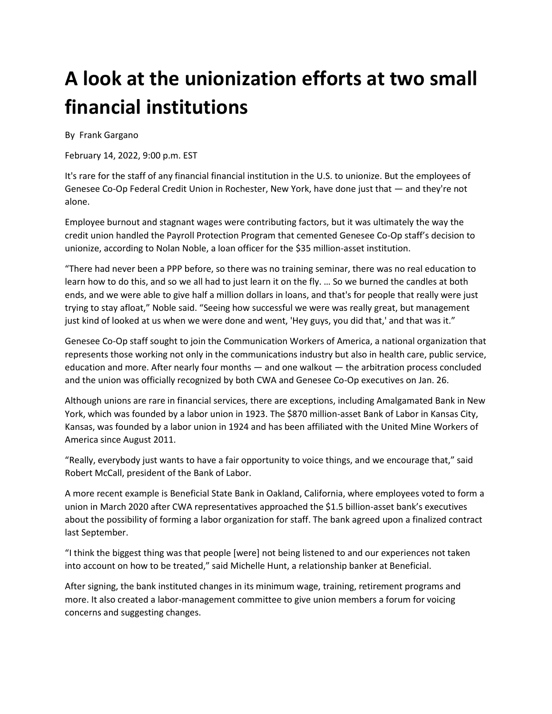## **A look at the unionization efforts at two small financial institutions**

By Frank Gargano

February 14, 2022, 9:00 p.m. EST

It's rare for the staff of any financial financial institution in the U.S. to unionize. But the employees of Genesee Co-Op Federal Credit Union in Rochester, New York, have done just that — and they're not alone.

Employee burnout and stagnant wages were contributing factors, but it was ultimately the way the credit union handled the Payroll Protection Program that cemented Genesee Co-Op staff's decision to unionize, according to Nolan Noble, a loan officer for the \$35 million-asset institution.

"There had never been a PPP before, so there was no training seminar, there was no real education to learn how to do this, and so we all had to just learn it on the fly. … So we burned the candles at both ends, and we were able to give half a million dollars in loans, and that's for people that really were just trying to stay afloat," Noble said. "Seeing how successful we were was really great, but management just kind of looked at us when we were done and went, 'Hey guys, you did that,' and that was it."

Genesee Co-Op staff sought to join the Communication Workers of America, a national organization that represents those working not only in the communications industry but also in health care, public service, education and more. After nearly four months — and one walkout — the arbitration process concluded and the union was officially recognized by both CWA and Genesee Co-Op executives on Jan. 26.

Although unions are rare in financial services, there are exceptions, including Amalgamated Bank in New York, which was founded by a labor union in 1923. The \$870 million-asset Bank of Labor in Kansas City, Kansas, was founded by a labor union in 1924 and has been affiliated with the United Mine Workers of America since August 2011.

"Really, everybody just wants to have a fair opportunity to voice things, and we encourage that," said Robert McCall, president of the Bank of Labor.

A more recent example is Beneficial State Bank in Oakland, California, where employees voted to form a union in March 2020 after CWA representatives approached the \$1.5 billion-asset bank's executives about the possibility of forming a labor organization for staff. The bank agreed upon a finalized contract last September.

"I think the biggest thing was that people [were] not being listened to and our experiences not taken into account on how to be treated," said Michelle Hunt, a relationship banker at Beneficial.

After signing, the bank instituted changes in its minimum wage, training, retirement programs and more. It also created a labor-management committee to give union members a forum for voicing concerns and suggesting changes.